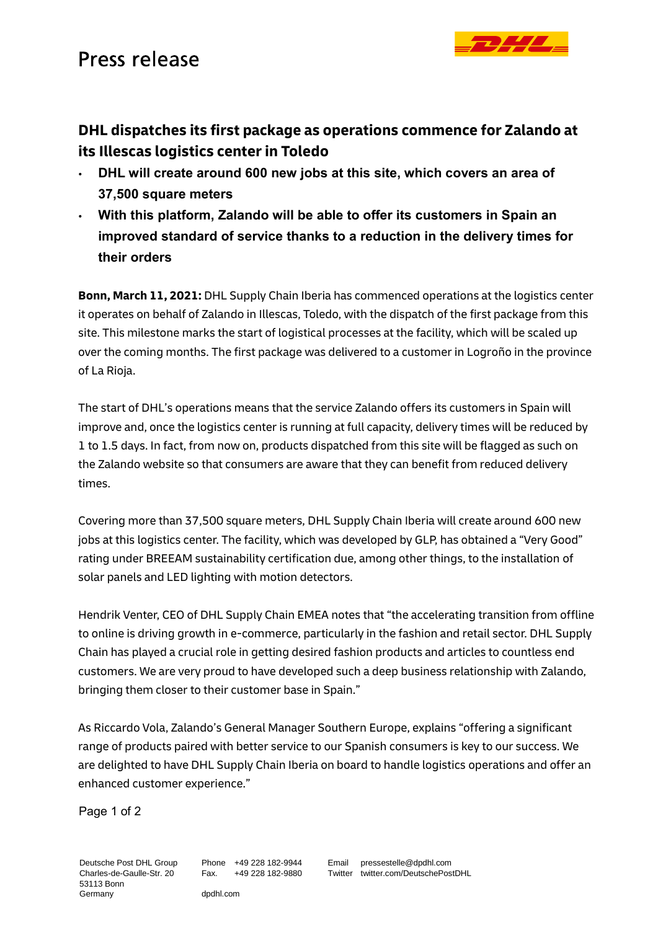## Press release

## **DHL dispatches its first package as operations commence for Zalando at its Illescas logistics center in Toledo**

- **DHL will create around 600 new jobs at this site, which covers an area of 37,500 square meters**
- **With this platform, Zalando will be able to offer its customers in Spain an improved standard of service thanks to a reduction in the delivery times for their orders**

**Bonn, March 11, 2021:** DHL Supply Chain Iberia has commenced operations at the logistics center it operates on behalf of Zalando in Illescas, Toledo, with the dispatch of the first package from this site. This milestone marks the start of logistical processes at the facility, which will be scaled up over the coming months. The first package was delivered to a customer in Logroño in the province of La Rioja.

The start of DHL's operations means that the service Zalando offers its customers in Spain will improve and, once the logistics center is running at full capacity, delivery times will be reduced by 1 to 1.5 days. In fact, from now on, products dispatched from this site will be flagged as such on the Zalando website so that consumers are aware that they can benefit from reduced delivery times.

Covering more than 37,500 square meters, DHL Supply Chain Iberia will create around 600 new jobs at this logistics center. The facility, which was developed by GLP, has obtained a "Very Good" rating under BREEAM sustainability certification due, among other things, to the installation of solar panels and LED lighting with motion detectors.

Hendrik Venter, CEO of DHL Supply Chain EMEA notes that "the accelerating transition from offline to online is driving growth in e-commerce, particularly in the fashion and retail sector. DHL Supply Chain has played a crucial role in getting desired fashion products and articles to countless end customers. We are very proud to have developed such a deep business relationship with Zalando, bringing them closer to their customer base in Spain."

As Riccardo Vola, Zalando's General Manager Southern Europe, explains "offering a significant range of products paired with better service to our Spanish consumers is key to our success. We are delighted to have DHL Supply Chain Iberia on board to handle logistics operations and offer an enhanced customer experience."

Page 1 of 2

Deutsche Post DHL Group Charles-de-Gaulle-Str. 20 53113 Bonn Germany

Phone +49 228 182-9944 Fax. +49 228 182-9880

dpdhl.com